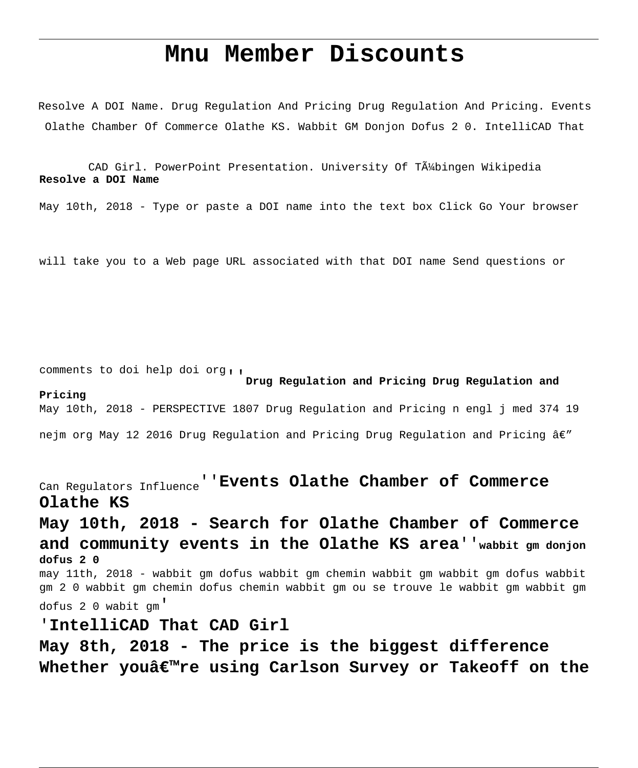## **Mnu Member Discounts**

Resolve A DOI Name. Drug Regulation And Pricing Drug Regulation And Pricing. Events Olathe Chamber Of Commerce Olathe KS. Wabbit GM Donjon Dofus 2 0. IntelliCAD That

CAD Girl. PowerPoint Presentation. University Of TA4bingen Wikipedia **Resolve a DOI Name**

May 10th, 2018 - Type or paste a DOI name into the text box Click Go Your browser

will take you to a Web page URL associated with that DOI name Send questions or

comments to doi help doi org''**Drug Regulation and Pricing Drug Regulation and Pricing** May 10th, 2018 - PERSPECTIVE 1807 Drug Regulation and Pricing n engl j med 374 19

nejm org May 12 2016 Drug Regulation and Pricing Drug Regulation and Pricing  $\hat{a}\in\mathcal{C}$ 

Can Regulators Influence''**Events Olathe Chamber of Commerce Olathe KS**

**May 10th, 2018 - Search for Olathe Chamber of Commerce and community events in the Olathe KS area**''**wabbit gm donjon dofus 2 0** may 11th, 2018 - wabbit gm dofus wabbit gm chemin wabbit gm wabbit gm dofus wabbit gm 2 0 wabbit gm chemin dofus chemin wabbit gm ou se trouve le wabbit gm wabbit gm dofus 2 0 wabit gm' '**IntelliCAD That CAD Girl**

**May 8th, 2018 - The price is the biggest difference Whether you're using Carlson Survey or Takeoff on the**